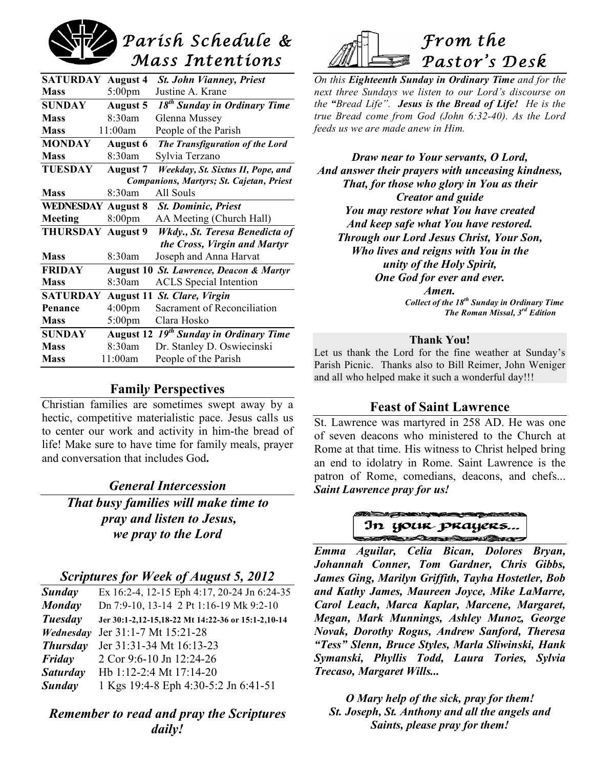# *Parish Schedule & Mass Intentions*

| <b>SATURDAY</b>           | <b>August 4</b>    | <b>St. John Vianney, Priest</b>                    |
|---------------------------|--------------------|----------------------------------------------------|
| <b>Mass</b>               | $5:00 \text{pm}$   | Justine A. Krane                                   |
| <b>SUNDAY</b>             | <b>August 5</b>    | 18 <sup>th</sup> Sunday in Ordinary Time           |
| <b>Mass</b>               | 8:30am             | Glenna Mussey                                      |
| <b>Mass</b>               | 11:00am            | People of the Parish                               |
| <b>MONDAY</b>             | <b>August 6</b>    | The Transfiguration of the Lord                    |
| <b>Mass</b>               | 8:30am             | Sylvia Terzano                                     |
| <b>TUESDAY</b>            | <b>August 7</b>    | Weekday, St. Sixtus II, Pope, and                  |
|                           |                    | Companions, Martyrs; St. Cajetan, Priest           |
| <b>Mass</b>               | 8:30am             | All Souls                                          |
| <b>WEDNESDAY August 8</b> |                    | <b>St. Dominic, Priest</b>                         |
| Meeting                   | 8:00 <sub>pm</sub> | AA Meeting (Church Hall)                           |
| <b>THURSDAY August 9</b>  |                    | Wkdy., St. Teresa Benedicta of                     |
|                           |                    | the Cross, Virgin and Martyr                       |
| <b>Mass</b>               | 8:30am             | Joseph and Anna Harvat                             |
| <b>FRIDAY</b>             | <b>August 10</b>   | St. Lawrence, Deacon & Martyr                      |
| <b>Mass</b>               | 8:30am             | <b>ACLS</b> Special Intention                      |
| <b>SATURDAY</b>           |                    | August 11 St. Clare, Virgin                        |
| Penance                   | 4:00 <sub>pm</sub> | Sacrament of Reconciliation                        |
| <b>Mass</b>               | $5:00$ pm          | Clara Hosko                                        |
| <b>SUNDAY</b>             |                    | August 12 19 <sup>th</sup> Sunday in Ordinary Time |
| <b>Mass</b>               | 8:30am             | Dr. Stanley D. Oswiecinski                         |
| <b>Mass</b>               | 11:00am            | People of the Parish                               |
|                           |                    |                                                    |

# **Famil***y* **Perspectives**

Christian families are sometimes swept away by a hectic, competitive materialistic pace. Jesus calls us to center our work and activity in him-the bread of life! Make sure to have time for family meals, prayer and conversation that includes God**.**

# *General Intercession*

*That busy families will make time to pray and listen to Jesus, we pray to the Lord*

# *Scriptures for Week of August 5, 2012*

| Sunday          | Ex 16:2-4, 12-15 Eph 4:17, 20-24 Jn 6:24-35        |
|-----------------|----------------------------------------------------|
| Monday          | Dn 7:9-10, 13-14 2 Pt 1:16-19 Mk 9:2-10            |
| Tuesday         | Jer 30:1-2,12-15,18-22 Mt 14:22-36 or 15:1-2,10-14 |
| Wednesday       | Jer 31:1-7 Mt 15:21-28                             |
| <b>Thursday</b> | Jer 31:31-34 Mt 16:13-23                           |
| Friday          | 2 Cor 9:6-10 Jn 12:24-26                           |
| <b>Saturday</b> | Hb 1:12-2:4 Mt 17:14-20                            |
| Sunday          | 1 Kgs 19:4-8 Eph 4:30-5:2 Jn 6:41-51               |
|                 |                                                    |

# *Remember to read and pray the Scriptures daily!*



*On this Eighteenth Sunday in Ordinary Time and for the next three Sundays we listen to our Lord's discourse on the "Bread Life". Jesus is the Bread of Life! He is the true Bread come from God (John 6:32-40). As the Lord feeds us we are made anew in Him.*

*Draw near to Your servants, O Lord, And answer their prayers with unceasing kindness, That, for those who glory in You as their Creator and guide You may restore what You have created And keep safe what You have restored. Through our Lord Jesus Christ, Your Son, Who lives and reigns with You in the unity of the Holy Spirit, One God for ever and ever. Amen.*

*Collect of the 18th Sunday in Ordinary Time The Roman Missal, 3rd Edition*

## **Thank You!**

Let us thank the Lord for the fine weather at Sunday's Parish Picnic. Thanks also to Bill Reimer, John Weniger and all who helped make it such a wonderful day!!!

# **Feast of Saint Lawrence**

St. Lawrence was martyred in 258 AD. He was one of seven deacons who ministered to the Church at Rome at that time. His witness to Christ helped bring an end to idolatry in Rome. Saint Lawrence is the patron of Rome, comedians, deacons, and chefs... *Saint Lawrence pray for us!*



*Emma Aguilar, Celia Bican, Dolores Bryan, Johannah Conner, Tom Gardner, Chris Gibbs, James Ging, Marilyn Griffith, Tayha Hostetler, Bob and Kathy James, Maureen Joyce, Mike LaMarre, Carol Leach, Marca Kaplar, Marcene, Margaret, Megan, Mark Munnings, Ashley Munoz, George Novak, Dorothy Rogus, Andrew Sanford, Theresa "Tess" Slenn, Bruce Styles, Marla Sliwinski, Hank Symanski, Phyllis Todd, Laura Tories, Sylvia Trecaso, Margaret Wills...*

*O Mary help of the sick, pray for them! St. Joseph, St. Anthony and all the angels and Saints, please pray for them!*